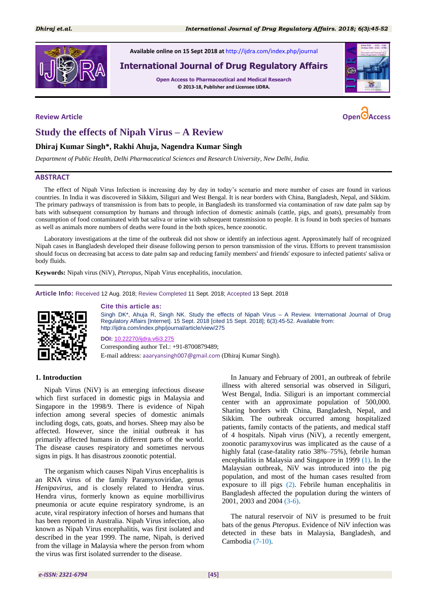

**Available online on 15 Sept 2018 at** <http://ijdra.com/index.php/journal>

# **International Journal of Drug Regulatory Affairs**

**Open Access to Pharmaceutical and Medical Research © 2013-18, Publisher and Licensee IJDRA.**



# **Study the effects of Nipah Virus – A Review**

### **Dhiraj Kumar Singh\*, Rakhi Ahuja, Nagendra Kumar Singh**

*Department of Public Health, Delhi Pharmaceutical Sciences and Research University, New Delhi, India.*

#### **ABSTRACT**

The effect of Nipah Virus Infection is increasing day by day in today's scenario and more number of cases are found in various countries. In India it was discovered in Sikkim, Siliguri and West Bengal. It is near borders with China, Bangladesh, Nepal, and Sikkim. The primary pathways of transmission is from bats to people, in Bangladesh its transformed via contamination of raw date palm sap by bats with subsequent consumption by humans and through infection of domestic animals (cattle, pigs, and goats), presumably from consumption of food contaminated with bat saliva or urine with subsequent transmission to people. It is found in both species of humans as well as animals more numbers of deaths were found in the both spices, hence zoonotic.

Laboratory investigations at the time of the outbreak did not show or identify an infectious agent. Approximately half of recognized Nipah cases in Bangladesh developed their disease following person to person transmission of the virus. Efforts to prevent transmission should focus on decreasing bat access to date palm sap and reducing family members' and friends' exposure to infected patients' saliva or body fluids.

**Keywords:** Nipah virus (NiV), *Pteropus*, Nipah Virus encephalitis, inoculation.

**Article Info:** Received 12 Aug. 2018; Review Completed 11 Sept. 2018; Accepted 13 Sept. 2018



#### **Cite this article as:**

Singh DK\*, Ahuja R, Singh NK. Study the effects of Nipah Virus – A Review. International Journal of Drug Regulatory Affairs [Internet]. 15 Sept. 2018 [cited 15 Sept. 2018]; 6(3):45-52. Available from: http://ijdra.com/index.php/journal/article/view/275

#### **DOI:** [10.22270/ijdra.v6i3.275](https://doi.org/10.22270/ijdra.v6i3.275)

Corresponding author Tel.: +91-8700879489; E-mail address: [aaaryansingh007@gmail.com](mailto:aaaryansingh007@gmail.com) (Dhiraj Kumar Singh).

#### **1. Introduction**

Nipah Virus (NiV) is an emerging infectious disease which first surfaced in domestic pigs in Malaysia and Singapore in the 1998/9. There is evidence of Nipah infection among several species of domestic animals including dogs, cats, goats, and horses. Sheep may also be affected. However, since the initial outbreak it has primarily affected humans in different parts of the world. The disease causes respiratory and sometimes nervous signs in pigs. It has disastrous zoonotic potential.

The organism which causes Nipah Virus encephalitis is an RNA virus of the family Paramyxoviridae, genus *Henipavirus*, and is closely related to Hendra virus. Hendra virus, formerly known as equine morbillivirus pneumonia or acute equine respiratory syndrome, is an acute, viral respiratory infection of horses and humans that has been reported in Australia. Nipah Virus infection, also known as Nipah Virus encephalitis, was first isolated and described in the year 1999. The name, Nipah, is derived from the village in Malaysia where the person from whom the virus was first isolated surrender to the disease.

In January and February of 2001, an outbreak of febrile illness with altered sensorial was observed in Siliguri, West Bengal, India. Siliguri is an important commercial center with an approximate population of 500,000. Sharing borders with China, Bangladesh, Nepal, and Sikkim. The outbreak occurred among hospitalized patients, family contacts of the patients, and medical staff of 4 hospitals. Nipah virus (NiV), a recently emergent, zoonotic paramyxovirus was implicated as the cause of a highly fatal (case-fatality ratio 38%–75%), febrile human encephalitis in Malaysia and Singapore in 1999 [\(1\)](#page-5-0). In the Malaysian outbreak, NiV was introduced into the pig population, and most of the human cases resulted from exposure to ill pigs [\(2\)](#page-5-1). Febrile human encephalitis in Bangladesh affected the population during the winters of 2001, 2003 and 2004 [\(3](#page-5-2)[-6\)](#page-5-3).

The natural reservoir of NiV is presumed to be fruit bats of the genus *Pteropus*. Evidence of NiV infection was detected in these bats in Malaysia, Bangladesh, and Cambodia [\(7-](#page-5-4)[10\)](#page-6-0).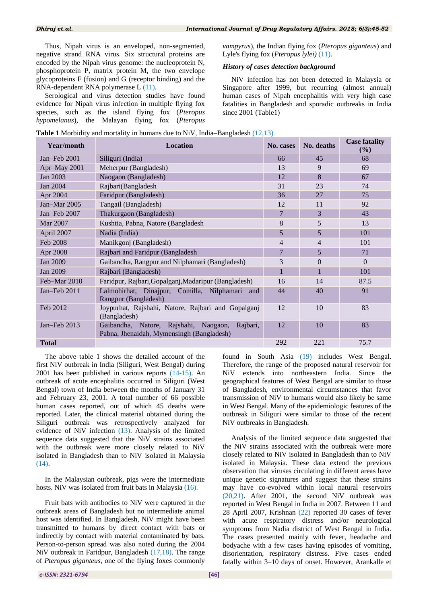Thus, Nipah virus is an enveloped, non-segmented, negative strand RNA virus. Six structural proteins are encoded by the Nipah virus genome: the nucleoprotein N, phosphoprotein P, matrix protein M, the two envelope glycoproteins F (fusion) and G (receptor binding) and the RNA-dependent RNA polymerase L [\(11\)](#page-6-1).

Serological and virus detection studies have found evidence for Nipah virus infection in multiple flying fox species, such as the island flying fox (*Pteropus hypomelanus*), the Malayan flying fox (*Pteropus* *vampyrus*), the Indian flying fox (*Pteropus giganteus*) and Lyle's flying fox (*Pteropus lylei)* [\(11\)](#page-6-1).

# *History of cases detection background*

NiV infection has not been detected in Malaysia or Singapore after 1999, but recurring (almost annual) human cases of Nipah encephalitis with very high case fatalities in Bangladesh and sporadic outbreaks in India since 2001 (Table1)

|  |  | <b>Table 1</b> Morbidity and mortality in humans due to NiV, India–Bangladesh (12,13) |  |
|--|--|---------------------------------------------------------------------------------------|--|
|  |  |                                                                                       |  |

| Year/month<br><b>Location</b> |                                                                                                |     | No. deaths     | <b>Case fatality</b><br>(%) |
|-------------------------------|------------------------------------------------------------------------------------------------|-----|----------------|-----------------------------|
| Jan-Feb 2001                  | Siliguri (India)                                                                               | 66  | 45             | 68                          |
| Apr-May 2001                  | Meherpur (Bangladesh)                                                                          | 13  | 9              | 69                          |
| Jan 2003                      | Naogaon (Bangladesh)                                                                           | 12  | 8              | 67                          |
| Jan 2004                      | Rajbari(Bangladesh                                                                             | 31  | 23             | 74                          |
| Apr 2004                      | Faridpur (Bangladesh)                                                                          | 36  | 27             | 75                          |
| Jan-Mar $2005$                | Tangail (Bangladesh)                                                                           | 12  | 11             | 92                          |
| Jan-Feb 2007                  | Thakurgaon (Bangladesh)                                                                        | 7   | 3              | 43                          |
| Mar 2007                      | Kushtia, Pabna, Natore (Bangladesh                                                             | 8   | 5              | 13                          |
| April 2007                    | Nadia (India)                                                                                  | 5   | 5              | 101                         |
| Feb 2008                      | Manikgonj (Bangladesh)                                                                         | 4   | $\overline{4}$ | 101                         |
| Apr 2008                      | Rajbari and Faridpur (Bangladesh                                                               | 7   | 5              | 71                          |
| Jan 2009                      | Gaibandha, Rangpur and Nilphamari (Bangladesh)                                                 | 3   | $\Omega$       | $\Omega$                    |
| Jan 2009                      | Rajbari (Bangladesh)                                                                           | 1   | $\mathbf{1}$   | 101                         |
| Feb-Mar 2010                  | Faridpur, Rajbari, Gopalganj, Madaripur (Bangladesh)                                           | 16  | 14             | 87.5                        |
| Jan-Feb 2011                  | Lalmohirhat, Dinajpur, Comilla, Nilphamari<br>and<br>Rangpur (Bangladesh)                      | 44  | 40             | 91                          |
| Feb 2012                      | Joypurhat, Rajshahi, Natore, Rajbari and Gopalganj<br>(Bangladesh)                             | 12  | 10             | 83                          |
| Jan-Feb 2013                  | Rajbari,<br>Gaibandha, Natore, Rajshahi, Naogaon,<br>Pabna, Jhenaidah, Mymensingh (Bangladesh) | 12  | 10             | 83                          |
| <b>Total</b>                  |                                                                                                | 292 | 221            | 75.7                        |

The above table 1 shows the detailed account of the first NiV outbreak in India (Siliguri, West Bengal) during 2001 has been published in various reports [\(14](#page-6-4)[-15\)](#page-6-5). An outbreak of acute encephalitis occurred in Siliguri (West Bengal) town of India between the months of January 31 and February 23, 2001. A total number of 66 possible human cases reported, out of which 45 deaths were reported. Later, the clinical material obtained during the Siliguri outbreak was retrospectively analyzed for evidence of NiV infection [\(13\)](#page-6-3). Analysis of the limited sequence data suggested that the NiV strains associated with the outbreak were more closely related to NiV isolated in Bangladesh than to NiV isolated in Malaysia [\(14\)](#page-6-4).

In the Malaysian outbreak, pigs were the intermediate hosts. NiV was isolated from fruit bats in Malaysia [\(16\)](#page-6-6).

Fruit bats with antibodies to NiV were captured in the outbreak areas of Bangladesh but no intermediate animal host was identified. In Bangladesh, NiV might have been transmitted to humans by direct contact with bats or indirectly by contact with material contaminated by bats. Person-to-person spread was also noted during the 2004 NiV outbreak in Faridpur, Bangladesh [\(17,](#page-6-7)[18\)](#page-6-8). The range of *Pteropus giganteus*, one of the flying foxes commonly

found in South Asia [\(19\)](#page-6-9) includes West Bengal. Therefore, the range of the proposed natural reservoir for NiV extends into northeastern India. Since the geographical features of West Bengal are similar to those of Bangladesh, environmental circumstances that favor transmission of NiV to humans would also likely be same in West Bengal. Many of the epidemiologic features of the outbreak in Siliguri were similar to those of the recent NiV outbreaks in Bangladesh.

Analysis of the limited sequence data suggested that the NiV strains associated with the outbreak were more closely related to NiV isolated in Bangladesh than to NiV isolated in Malaysia. These data extend the previous observation that viruses circulating in different areas have unique genetic signatures and suggest that these strains may have co-evolved within local natural reservoirs [\(20](#page-6-10)[,21\)](#page-6-11). After 2001, the second NiV outbreak was reported in West Bengal in India in 2007. Between 11 and 28 April 2007, Krishnan [\(22\)](#page-6-12) reported 30 cases of fever with acute respiratory distress and/or neurological symptoms from Nadia district of West Bengal in India. The cases presented mainly with fever, headache and bodyache with a few cases having episodes of vomiting, disorientation, respiratory distress. Five cases ended fatally within 3–10 days of onset. However, Arankalle et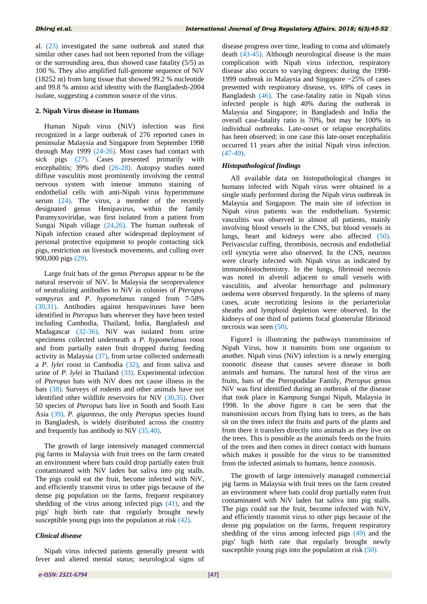al. [\(23\)](#page-6-13) investigated the same outbreak and stated that similar other cases had not been reported from the village or the surrounding area, thus showed case fatality (5/5) as 100 %. They also amplified full-genome sequence of NiV (18252 nt) from lung tissue that showed 99.2 % nucleotide and 99.8 % amino acid identity with the Bangladesh-2004 isolate, suggesting a common source of the virus.

#### **2. Nipah Virus disease in Humans**

Human Nipah virus (NiV) infection was first recognized in a large outbreak of 276 reported cases in peninsular Malaysia and Singapore from September 1998 through May 1999 [\(24](#page-6-14)[-26\)](#page-6-15). Most cases had contact with sick pigs [\(27\)](#page-6-16). Cases presented primarily with encephalitis; 39% died [\(26](#page-6-15)[-28\)](#page-6-17). Autopsy studies noted diffuse vasculitis most prominently involving the central nervous system with intense immuno staining of endothelial cells with anti-Nipah virus hyperimmune serum [\(24\)](#page-6-14). The virus, a member of the recently designated genus Henipavirus, within the family Paramyxoviridae, was first isolated from a patient from Sungai Nipah village [\(24,](#page-6-14)[26\)](#page-6-15). The human outbreak of Nipah infection ceased after widespread deployment of personal protective equipment to people contacting sick pigs, restriction on livestock movements, and culling over 900,000 pigs [\(29\)](#page-6-18).

Large fruit bats of the genus *Pteropus* appear to be the natural reservoir of NiV. In Malaysia the seroprevalence of neutralizing antibodies to NiV in colonies of *Pteropus vampyrus* and *P. hypomelanus* ranged from 7-58% [\(30](#page-6-19)[,31\)](#page-6-20). Antibodies against henipaviruses have been identified in *Pteropus* bats wherever they have been tested including Cambodia, Thailand, India, Bangladesh and Madagascar [\(32-](#page-6-21)[36\)](#page-6-22). NiV was isolated from urine specimens collected underneath a *P. hypomelanus* roost and from partially eaten fruit dropped during feeding activity in Malaysia [\(37\)](#page-6-23), from urine collected underneath a *P. lylei* roost in Cambodia [\(32\)](#page-6-21), and from saliva and urine of *P. lylei* in Thailand [\(33\)](#page-6-24). Experimental infection of *Pteropus* bats with NiV does not cause illness in the bats [\(38\)](#page-6-25). Surveys of rodents and other animals have not identified other wildlife reservoirs for NiV [\(30](#page-6-19)[,35\)](#page-6-26). Over 50 species of *Pteropus* bats live in South and South East Asia [\(39\)](#page-7-0). *P. giganteus*, the only *Pteropus* species found in Bangladesh, is widely distributed across the country and frequently has antibody to NiV [\(35,](#page-6-26)[40\)](#page-7-1).

The growth of large intensively managed commercial pig farms in Malaysia with fruit trees on the farm created an environment where bats could drop partially eaten fruit contaminated with NiV laden bat saliva into pig stalls. The pigs could eat the fruit, become infected with NiV, and efficiently transmit virus to other pigs because of the dense pig population on the farms, frequent respiratory shedding of the virus among infected pigs [\(41\)](#page-7-2), and the pigs' high birth rate that regularly brought newly susceptible young pigs into the population at risk  $(42)$ .

#### *Clinical disease*

Nipah virus infected patients generally present with fever and altered mental status; neurological signs of

disease progress over time, leading to coma and ultimately death [\(43](#page-7-4)[-45\)](#page-7-5). Although neurological disease is the main complication with Nipah virus infection, respiratory disease also occurs to varying degrees: during the 1998- 1999 outbreak in Malaysia and Singapore ~25% of cases presented with respiratory disease, vs. 69% of cases in Bangladesh [\(46\)](#page-7-6). The case-fatality ratio in Nipah virus infected people is high 40% during the outbreak in Malaysia and Singapore; in Bangladesh and India the overall case-fatality ratio is 70%, but may be 100% in individual outbreaks. Late-onset or relapse encephalitis has been observed; in one case this late-onset encephalitis occurred 11 years after the initial Nipah virus infection.  $(47-49)$  $(47-49)$ .

#### *Histopathological findings*

All available data on histopathological changes in humans infected with Nipah virus were obtained in a single study performed during the Nipah virus outbreak in Malaysia and Singapore. The main site of infection in Nipah virus patients was the endothelium. Systemic vasculitis was observed in almost all patients, mainly involving blood vessels in the CNS, but blood vessels in lungs, heart and kidneys were also affected [\(50\)](#page-7-9). Perivascular cuffing, thrombosis, necrosis and endothelial cell syncytia were also observed. In the CNS, neurons were clearly infected with Nipah virus as indicated by immunohistochemistry. In the lungs, fibrinoid necrosis was noted in alveoli adjacent to small vessels with vasculitis, and alveolar hemorrhage and pulmonary oedema were observed frequently. In the spleens of many cases, acute necrotizing lesions in the periarteriolar sheaths and lymphoid depletion were observed. In the kidneys of one third of patients focal glomerular fibrinoid necrosis was seen [\(50\)](#page-7-9).

Figure1 is illustrating the pathways transmission of Nipah Virus, how it transmits from one organism to another. Nipah virus (NiV) infection is a newly emerging zoonotic disease that causes severe disease in both animals and humans. The natural host of the virus are fruits, bats of the Pteropodidae Family, *Pteropus* genus NiV was first identified during an outbreak of the disease that took place in Kampung Sungai Nipah, Malaysia in 1998. In the above figure it can be seen that the transmission occurs from flying bats to trees, as the bats sit on the trees infect the fruits and parts of the plants and from there it transfers directly into animals as they live on the trees. This is possible as the animals feeds on the fruits of the trees and then comes in direct contact with humans which makes it possible for the virus to be transmitted from the infected animals to humans, hence zoonosis.

The growth of large intensively managed commercial pig farms in Malaysia with fruit trees on the farm created an environment where bats could drop partially eaten fruit contaminated with NiV laden bat saliva into pig stalls. The pigs could eat the fruit, become infected with NiV, and efficiently transmit virus to other pigs because of the dense pig population on the farms, frequent respiratory shedding of the virus among infected pigs [\(49\)](#page-7-8) and the pigs' high birth rate that regularly brought newly susceptible young pigs into the population at risk [\(50\)](#page-7-9).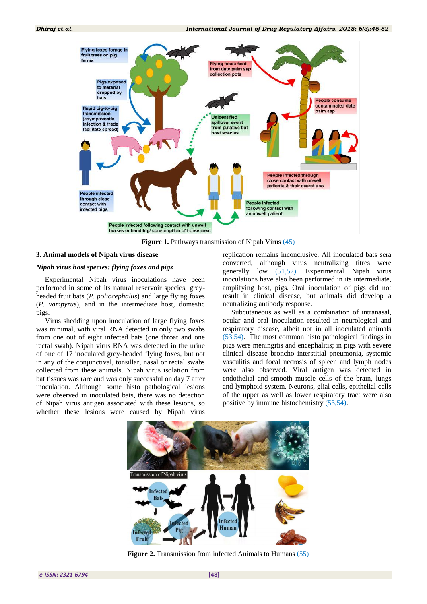

**Figure 1.** Pathways transmission of Nipah Virus [\(45\)](#page-7-5)

#### **3. Animal models of Nipah virus disease**

#### *Nipah virus host species: flying foxes and pigs*

Experimental Nipah virus inoculations have been performed in some of its natural reservoir species, greyheaded fruit bats (*P. poliocephalus*) and large flying foxes (*P. vampyrus*), and in the intermediate host, domestic pigs.

Virus shedding upon inoculation of large flying foxes was minimal, with viral RNA detected in only two swabs from one out of eight infected bats (one throat and one rectal swab). Nipah virus RNA was detected in the urine of one of 17 inoculated grey-headed flying foxes, but not in any of the conjunctival, tonsillar, nasal or rectal swabs collected from these animals. Nipah virus isolation from bat tissues was rare and was only successful on day 7 after inoculation. Although some histo pathological lesions were observed in inoculated bats, there was no detection of Nipah virus antigen associated with these lesions, so whether these lesions were caused by Nipah virus

replication remains inconclusive. All inoculated bats sera converted, although virus neutralizing titres were generally low [\(51,](#page-7-10)[52\)](#page-7-11). Experimental Nipah virus inoculations have also been performed in its intermediate, amplifying host, pigs. Oral inoculation of pigs did not result in clinical disease, but animals did develop a neutralizing antibody response.

Subcutaneous as well as a combination of intranasal, ocular and oral inoculation resulted in neurological and respiratory disease, albeit not in all inoculated animals [\(53](#page-7-12)[,54\)](#page-7-13). The most common histo pathological findings in pigs were meningitis and encephalitis; in pigs with severe clinical disease broncho interstitial pneumonia, systemic vasculitis and focal necrosis of spleen and lymph nodes were also observed. Viral antigen was detected in endothelial and smooth muscle cells of the brain, lungs and lymphoid system. Neurons, glial cells, epithelial cells of the upper as well as lower respiratory tract were also positive by immune histochemistry [\(53](#page-7-12)[,54\)](#page-7-13).



**Figure 2.** Transmission from infected Animals to Humans [\(55\)](#page-7-14)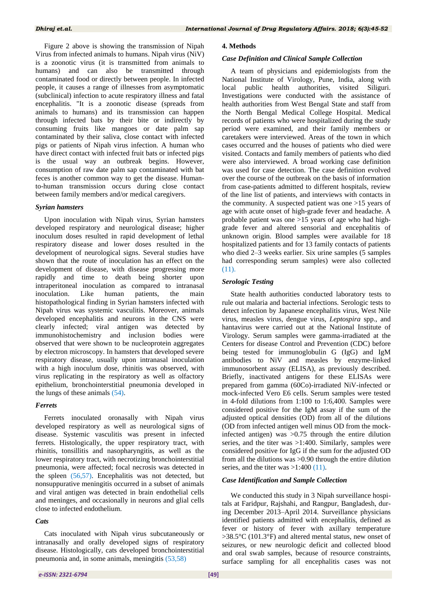Figure 2 above is showing the transmission of Nipah Virus from infected animals to humans. Nipah virus (NiV) is a zoonotic virus (it is transmitted from animals to humans) and can also be transmitted through contaminated food or directly between people. In infected people, it causes a range of illnesses from asymptomatic (subclinical) infection to acute respiratory illness and fatal encephalitis. "It is a zoonotic disease (spreads from animals to humans) and its transmission can happen through infected bats by their bite or indirectly by consuming fruits like mangoes or date palm sap contaminated by their saliva, close contact with infected pigs or patients of Nipah virus infection. A human who have direct contact with infected fruit bats or infected pigs is the usual way an outbreak begins. However, consumption of raw date palm sap contaminated with bat feces is another common way to get the disease. Humanto-human transmission occurs during close contact between family members and/or medical caregivers.

#### *Syrian hamsters*

Upon inoculation with Nipah virus, Syrian hamsters developed respiratory and neurological disease; higher inoculum doses resulted in rapid development of lethal respiratory disease and lower doses resulted in the development of neurological signs. Several studies have shown that the route of inoculation has an effect on the development of disease, with disease progressing more rapidly and time to death being shorter upon intraperitoneal inoculation as compared to intranasal inoculation. Like human patients, the main histopathological finding in Syrian hamsters infected with Nipah virus was systemic vasculitis. Moreover, animals developed encephalitis and neurons in the CNS were clearly infected; viral antigen was detected by immunohistochemistry and inclusion bodies were observed that were shown to be nucleoprotein aggregates by electron microscopy. In hamsters that developed severe respiratory disease, usually upon intranasal inoculation with a high inoculum dose, rhinitis was observed, with virus replicating in the respiratory as well as olfactory epithelium, bronchointerstitial pneumonia developed in the lungs of these animals [\(54\)](#page-7-13).

#### *Ferrets*

Ferrets inoculated oronasally with Nipah virus developed respiratory as well as neurological signs of disease. Systemic vasculitis was present in infected ferrets. Histologically, the upper respiratory tract, with rhinitis, tonsillitis and nasopharyngitis, as well as the lower respiratory tract, with necrotizing bronchointerstitial pneumonia, were affected; focal necrosis was detected in the spleen [\(56](#page-7-15)[,57\)](#page-7-16). Encephalitis was not detected, but nonsuppurative meningitis occurred in a subset of animals and viral antigen was detected in brain endothelial cells and meninges, and occasionally in neurons and glial cells close to infected endothelium.

#### *Cats*

Cats inoculated with Nipah virus subcutaneously or intranasally and orally developed signs of respiratory disease. Histologically, cats developed bronchointerstitial pneumonia and, in some animals, meningitis [\(53](#page-7-12)[,58\)](#page-7-17)

#### **4. Methods**

#### *Case Definition and Clinical Sample Collection*

A team of physicians and epidemiologists from the National Institute of Virology, Pune, India, along with local public health authorities, visited Siliguri. Investigations were conducted with the assistance of health authorities from West Bengal State and staff from the North Bengal Medical College Hospital. Medical records of patients who were hospitalized during the study period were examined, and their family members or caretakers were interviewed. Areas of the town in which cases occurred and the houses of patients who died were visited. Contacts and family members of patients who died were also interviewed. A broad working case definition was used for case detection. The case definition evolved over the course of the outbreak on the basis of information from case-patients admitted to different hospitals, review of the line list of patients, and interviews with contacts in the community. A suspected patient was one  $>15$  years of age with acute onset of high-grade fever and headache. A probable patient was one >15 years of age who had highgrade fever and altered sensorial and encephalitis of unknown origin. Blood samples were available for 18 hospitalized patients and for 13 family contacts of patients who died 2–3 weeks earlier. Six urine samples (5 samples had corresponding serum samples) were also collected [\(11\)](#page-6-1).

#### *Serologic Testing*

State health authorities conducted laboratory tests to rule out malaria and bacterial infections. Serologic tests to detect infection by Japanese encephalitis virus, West Nile virus, measles virus, dengue virus, *Leptospira* spp., and hantavirus were carried out at the National Institute of Virology. Serum samples were gamma-irradiated at the Centers for disease Control and Prevention (CDC) before being tested for immunoglobulin G (IgG) and IgM antibodies to NiV and measles by enzyme-linked immunosorbent assay (ELISA), as previously described. Briefly, inactivated antigens for these ELISAs were prepared from gamma (60Co)-irradiated NiV-infected or mock-infected Vero E6 cells. Serum samples were tested in 4-fold dilutions from 1:100 to 1:6,400. Samples were considered positive for the IgM assay if the sum of the adjusted optical densities (OD) from all of the dilutions (OD from infected antigen well minus OD from the mockinfected antigen) was >0.75 through the entire dilution series, and the titer was >1:400. Similarly, samples were considered positive for IgG if the sum for the adjusted OD from all the dilutions was >0.90 through the entire dilution series, and the titer was  $>1:400(11)$  $>1:400(11)$ .

#### *Case Identification and Sample Collection*

We conducted this study in 3 Nipah surveillance hospitals at Faridpur, Rajshahi, and Rangpur, Bangladesh, during December 2013–April 2014. Surveillance physicians identified patients admitted with encephalitis, defined as fever or history of fever with axillary temperature >38.5°C (101.3°F) and altered mental status, new onset of seizures, or new neurologic deficit and collected blood and oral swab samples, because of resource constraints, surface sampling for all encephalitis cases was not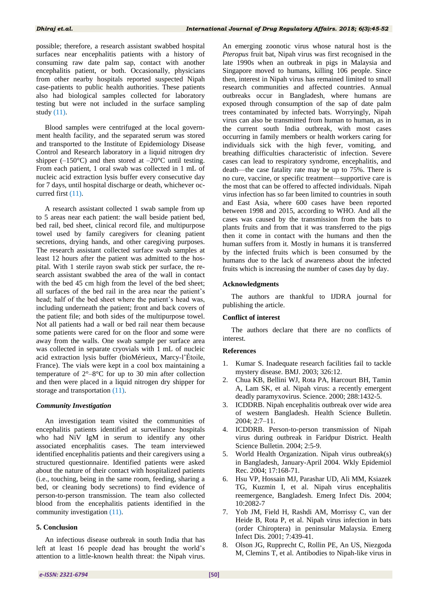possible; therefore, a research assistant swabbed hospital surfaces near encephalitis patients with a history of consuming raw date palm sap, contact with another encephalitis patient, or both. Occasionally, physicians from other nearby hospitals reported suspected Nipah case-patients to public health authorities. These patients also had biological samples collected for laboratory testing but were not included in the surface sampling study [\(11\)](#page-6-1).

Blood samples were centrifuged at the local government health facility, and the separated serum was stored and transported to the Institute of Epidemiology Disease Control and Research laboratory in a liquid nitrogen dry shipper  $(-150^{\circ}C)$  and then stored at  $-20^{\circ}C$  until testing. From each patient, 1 oral swab was collected in 1 mL of nucleic acid extraction lysis buffer every consecutive day for 7 days, until hospital discharge or death, whichever occurred first [\(11\)](#page-6-1).

A research assistant collected 1 swab sample from up to 5 areas near each patient: the wall beside patient bed, bed rail, bed sheet, clinical record file, and multipurpose towel used by family caregivers for cleaning patient secretions, drying hands, and other caregiving purposes. The research assistant collected surface swab samples at least 12 hours after the patient was admitted to the hospital. With 1 sterile rayon swab stick per surface, the research assistant swabbed the area of the wall in contact with the bed 45 cm high from the level of the bed sheet; all surfaces of the bed rail in the area near the patient's head; half of the bed sheet where the patient's head was, including underneath the patient; front and back covers of the patient file; and both sides of the multipurpose towel. Not all patients had a wall or bed rail near them because some patients were cared for on the floor and some were away from the walls. One swab sample per surface area was collected in separate cryovials with 1 mL of nucleic acid extraction lysis buffer (bioMérieux, Marcy-l'Étoile, France). The vials were kept in a cool box maintaining a temperature of 2°–8°C for up to 30 min after collection and then were placed in a liquid nitrogen dry shipper for storage and transportation [\(11\)](#page-6-1).

#### *Community Investigation*

An investigation team visited the communities of encephalitis patients identified at surveillance hospitals who had NiV IgM in serum to identify any other associated encephalitis cases. The team interviewed identified encephalitis patients and their caregivers using a structured questionnaire. Identified patients were asked about the nature of their contact with hospitalized patients (i.e., touching, being in the same room, feeding, sharing a bed, or cleaning body secretions) to find evidence of person-to-person transmission. The team also collected blood from the encephalitis patients identified in the community investigation [\(11\)](#page-6-1).

# **5. Conclusion**

An infectious disease outbreak in south India that has left at least 16 people dead has brought the world's attention to a little-known health threat: the Nipah virus.

An emerging zoonotic virus whose natural host is the *Pteropus* fruit bat, Nipah virus was first recognised in the late 1990s when an outbreak in pigs in Malaysia and Singapore moved to humans, killing 106 people. Since then, interest in Nipah virus has remained limited to small research communities and affected countries. Annual outbreaks occur in Bangladesh, where humans are exposed through consumption of the sap of date palm trees contaminated by infected bats. Worryingly, Nipah virus can also be transmitted from human to human, as in the current south India outbreak, with most cases occurring in family members or health workers caring for individuals sick with the high fever, vomiting, and breathing difficulties characteristic of infection. Severe cases can lead to respiratory syndrome, encephalitis, and death—the case fatality rate may be up to 75%. There is no cure, vaccine, or specific treatment—supportive care is the most that can be offered to affected individuals. Nipah virus infection has so far been limited to countries in south and East Asia, where 600 cases have been reported between 1998 and 2015, according to WHO. And all the cases was caused by the transmission from the bats to plants fruits and from that it was transferred to the pigs then it come in contact with the humans and then the human suffers from it. Mostly in humans it is transferred by the infected fruits which is been consumed by the humans due to the lack of awareness about the infected fruits which is increasing the number of cases day by day.

#### **Acknowledgments**

The authors are thankful to IJDRA journal for publishing the article.

#### **Conflict of interest**

The authors declare that there are no conflicts of interest.

#### **References**

- <span id="page-5-0"></span>1. Kumar S. Inadequate research facilities fail to tackle mystery disease. BMJ. 2003; 326:12.
- <span id="page-5-1"></span>2. Chua KB, Bellini WJ, Rota PA, Harcourt BH, Tamin A, Lam SK, et al. Nipah virus: a recently emergent deadly paramyxovirus. Science. 2000; 288:1432-5.
- <span id="page-5-2"></span>3. ICDDRB. Nipah encephalitis outbreak over wide area of western Bangladesh. Health Science Bulletin. 2004; 2:7–11.
- 4. ICDDRB. Person-to-person transmission of Nipah virus during outbreak in Faridpur District. Health Science Bulletin. 2004; 2:5-9.
- 5. World Health Organization. Nipah virus outbreak(s) in Bangladesh, January-April 2004. Wkly Epidemiol Rec. 2004; 17:168-71.
- <span id="page-5-3"></span>6. Hsu VP, Hossain MJ, Parashar UD, Ali MM, Ksiazek TG, Kuzmin I, et al. Nipah virus encephalitis reemergence, Bangladesh. Emerg Infect Dis. 2004; 10:2082-7
- <span id="page-5-4"></span>7. Yob JM, Field H, Rashdi AM, Morrissy C, van der Heide B, Rota P, et al. Nipah virus infection in bats (order Chiroptera) in peninsular Malaysia. Emerg Infect Dis. 2001; 7:439-41.
- 8. Olson JG, Rupprecht C, Rollin PE, An US, Niezgoda M, Clemins T, et al. Antibodies to Nipah-like virus in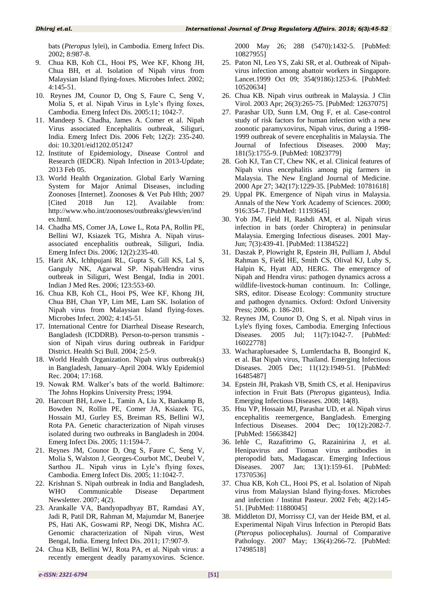bats (*Pteropus* lylei), in Cambodia. Emerg Infect Dis. 2002; 8:987-8.

- 9. Chua KB, Koh CL, Hooi PS, Wee KF, Khong JH, Chua BH, et al. Isolation of Nipah virus from Malaysian Island flying-foxes. Microbes Infect. 2002; 4:145-51.
- <span id="page-6-0"></span>10. Reynes JM, Counor D, Ong S, Faure C, Seng V, Molia S, et al. Nipah Virus in Lyle's flying foxes, Cambodia. Emerg Infect Dis. 2005:11; 1042-7.
- <span id="page-6-1"></span>11. Mandeep S. Chadha, James A. Comer et al. Nipah Virus associated Encephalitis outbreak, Siliguri, India. Emerg Infect Dis. 2006 Feb; 12(2): 235-240. doi: 10.3201/eid1202.051247
- <span id="page-6-2"></span>12. Institute of Epidemiology, Disease Control and Research (IEDCR). Nipah Infection in 2013-Update; 2013 Feb 05.
- <span id="page-6-3"></span>13. World Health Organization. Global Early Warning System for Major Animal Diseases, including Zoonoses [Internet]. Zoonoses & Vet Pub Hlth; 2007 [Cited 2018 Jun 12]. Available from: http://www.who.int/zoonoses/outbreaks/glews/en/ind ex.html.
- <span id="page-6-4"></span>14. Chadha MS, Comer JA, Lowe L, Rota PA, Rollin PE, Bellini WJ, Ksiazek TG, Mishra A. Nipah virusassociated encephalitis outbreak, Siliguri, India. Emerg Infect Dis. 2006; 12(2):235-40.
- <span id="page-6-5"></span>15. Harit AK, Ichhpujani RL, Gupta S, Gill KS, Lal S, Ganguly NK, Agarwal SP. Nipah/Hendra virus outbreak in Siliguri, West Bengal, India in 2001. Indian J Med Res. 2006; 123:553-60.
- <span id="page-6-6"></span>16. Chua KB, Koh CL, Hooi PS, Wee KF, Khong JH, Chua BH, Chan YP, Lim ME, Lam SK. Isolation of Nipah virus from Malaysian Island flying-foxes. Microbes Infect. 2002; 4:145-51.
- <span id="page-6-7"></span>17. International Centre for Diarrheal Disease Research, Bangladesh (ICDDRB). Person-to-person transmis sion of Nipah virus during outbreak in Faridpur District. Health Sci Bull. 2004; 2:5-9.
- <span id="page-6-8"></span>18. World Health Organization. Nipah virus outbreak(s) in Bangladesh, January–April 2004. Wkly Epidemiol Rec. 2004; 17:168.
- <span id="page-6-9"></span>19. Nowak RM. Walker's bats of the world. Baltimore: The Johns Hopkins University Press; 1994.
- <span id="page-6-10"></span>20. Harcourt BH, Lowe L, Tamin A, Liu X, Bankamp B, Bowden N, Rollin PE, Comer JA, Ksiazek TG, Hossain MJ, Gurley ES, Breiman RS, Bellini WJ, Rota PA. Genetic characterization of Nipah viruses isolated during two outbreaks in Bangladesh in 2004. Emerg Infect Dis. 2005; 11:1594-7.
- <span id="page-6-11"></span>21. Reynes JM, Counor D, Ong S, Faure C, Seng V, Molia S, Walston J, Georges-Courbot MC, Deubel V, Sarthou JL. Nipah virus in Lyle's flying foxes, Cambodia. Emerg Infect Dis. 2005; 11:1042-7.
- <span id="page-6-12"></span>22. Krishnan S. Nipah outbreak in India and Bangladesh, WHO Communicable Disease Department Newsletter. 2007; 4(2).
- <span id="page-6-13"></span>23. Arankalle VA, Bandyopadhyay BT, Ramdasi AY, Jadi R, Patil DR, Rahman M, Majumdar M, Banerjee PS, Hati AK, Goswami RP, Neogi DK, Mishra AC. Genomic characterization of Nipah virus, West Bengal, India. Emerg Infect Dis. 2011; 17:907-9.
- <span id="page-6-14"></span>24. Chua KB, Bellini WJ, Rota PA, et al. Nipah virus: a recently emergent deadly paramyxovirus. Science.

2000 May 26; 288 (5470):1432-5. [PubMed: 10827955]

- 25. Paton NI, Leo YS, Zaki SR, et al. Outbreak of Nipahvirus infection among abattoir workers in Singapore. Lancet.1999 Oct 09; 354(9186):1253-6. [PubMed: 10520634]
- <span id="page-6-15"></span>26. Chua KB. Nipah virus outbreak in Malaysia. J Clin Virol. 2003 Apr; 26(3):265-75. [PubMed: 12637075]
- <span id="page-6-16"></span>27. Parashar UD, Sunn LM, Ong F, et al. Case-control study of risk factors for human infection with a new zoonotic paramyxovirus, Nipah virus, during a 1998- 1999 outbreak of severe encephalitis in Malaysia. The Journal of Infectious Diseases. 2000 May; 181(5):1755-9. [PubMed: 10823779]
- <span id="page-6-17"></span>28. Goh KJ, Tan CT, Chew NK, et al. Clinical features of Nipah virus encephalitis among pig farmers in Malaysia. The New England Journal of Medicine. 2000 Apr 27; 342(17):1229-35. [PubMed: 10781618]
- <span id="page-6-18"></span>29. Uppal PK. Emergence of Nipah virus in Malaysia. Annals of the New York Academy of Sciences. 2000; 916:354-7. [PubMed: 11193645]
- <span id="page-6-19"></span>30. Yob JM, Field H, Rashdi AM, et al. Nipah virus infection in bats (order Chiroptera) in peninsular Malaysia. Emerging Infectious diseases. 2001 May-Jun; 7(3):439-41. [PubMed: 11384522]
- <span id="page-6-20"></span>31. Daszak P, Plowright R, Epstein JH, Pulliam J, Abdul Rahman S, Field HE, Smith CS, Olival KJ, Luby S, Halpin K, Hyatt AD, HERG. The emergence of Nipah and Hendra virus: pathogen dynamics across a wildlife-livestock-human continuum. In: Collinge, SRS, editor. Disease Ecology: Community structure and pathogen dynamics. Oxford: Oxford University Press; 2006. p. 186-201.
- <span id="page-6-21"></span>32. Reynes JM, Counor D, Ong S, et al. Nipah virus in Lyle's flying foxes, Cambodia. Emerging Infectious Diseases. 2005 Jul; 11(7):1042-7. [PubMed: 16022778]
- <span id="page-6-24"></span>33. Wacharapluesadee S, Lumlertdacha B, Boongird K, et al. Bat Nipah virus, Thailand. Emerging Infectious Diseases. 2005 Dec; 11(12):1949-51. [PubMed: 16485487]
- 34. Epstein JH, Prakash VB, Smith CS, et al. Henipavirus infection in Fruit Bats (*Pteropus* giganteus), India. Emerging Infectious Diseases. 2008; 14(8).
- <span id="page-6-26"></span>35. Hsu VP, Hossain MJ, Parashar UD, et al. Nipah virus encephalitis reemergence, Bangladesh. Emerging Infectious Diseases. 2004 Dec; 10(12):2082-7. [PubMed: 15663842]
- <span id="page-6-22"></span>36. Iehle C, Razafitrimo G, Razainirina J, et al. Henipavirus and Tioman virus antibodies in pteropodid bats, Madagascar. Emerging Infectious Diseases. 2007 Jan; 13(1):159-61. [PubMed: 17370536]
- <span id="page-6-23"></span>37. Chua KB, Koh CL, Hooi PS, et al. Isolation of Nipah virus from Malaysian Island flying-foxes. Microbes and infection / Institut Pasteur. 2002 Feb; 4(2):145- 51. [PubMed: 11880045]
- <span id="page-6-25"></span>38. Middleton DJ, Morrissy CJ, van der Heide BM, et al. Experimental Nipah Virus Infection in Pteropid Bats (*Pteropus* poliocephalus). Journal of Comparative Pathology. 2007 May; 136(4):266-72. [PubMed: 17498518]